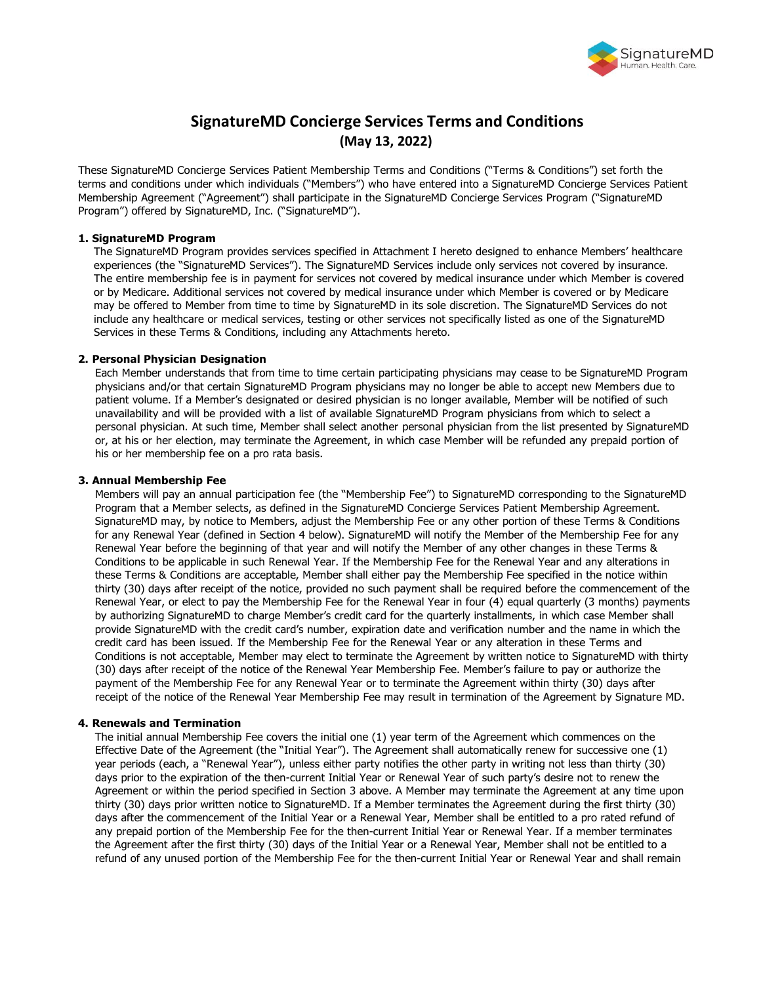

# **SignatureMD Concierge Services Terms and Conditions (May 13, 2022)**

These SignatureMD Concierge Services Patient Membership Terms and Conditions ("Terms & Conditions") set forth the terms and conditions under which individuals ("Members") who have entered into a SignatureMD Concierge Services Patient Membership Agreement ("Agreement") shall participate in the SignatureMD Concierge Services Program ("SignatureMD Program") offered by SignatureMD, Inc. ("SignatureMD").

# **1. SignatureMD Program**

The SignatureMD Program provides services specified in Attachment I hereto designed to enhance Members' healthcare experiences (the "SignatureMD Services"). The SignatureMD Services include only services not covered by insurance. The entire membership fee is in payment for services not covered by medical insurance under which Member is covered or by Medicare. Additional services not covered by medical insurance under which Member is covered or by Medicare may be offered to Member from time to time by SignatureMD in its sole discretion. The SignatureMD Services do not include any healthcare or medical services, testing or other services not specifically listed as one of the SignatureMD Services in these Terms & Conditions, including any Attachments hereto.

## **2. Personal Physician Designation**

Each Member understands that from time to time certain participating physicians may cease to be SignatureMD Program physicians and/or that certain SignatureMD Program physicians may no longer be able to accept new Members due to patient volume. If a Member's designated or desired physician is no longer available, Member will be notified of such unavailability and will be provided with a list of available SignatureMD Program physicians from which to select a personal physician. At such time, Member shall select another personal physician from the list presented by SignatureMD or, at his or her election, may terminate the Agreement, in which case Member will be refunded any prepaid portion of his or her membership fee on a pro rata basis.

## **3. Annual Membership Fee**

Members will pay an annual participation fee (the "Membership Fee") to SignatureMD corresponding to the SignatureMD Program that a Member selects, as defined in the SignatureMD Concierge Services Patient Membership Agreement. SignatureMD may, by notice to Members, adjust the Membership Fee or any other portion of these Terms & Conditions for any Renewal Year (defined in Section 4 below). SignatureMD will notify the Member of the Membership Fee for any Renewal Year before the beginning of that year and will notify the Member of any other changes in these Terms & Conditions to be applicable in such Renewal Year. If the Membership Fee for the Renewal Year and any alterations in these Terms & Conditions are acceptable, Member shall either pay the Membership Fee specified in the notice within thirty (30) days after receipt of the notice, provided no such payment shall be required before the commencement of the Renewal Year, or elect to pay the Membership Fee for the Renewal Year in four (4) equal quarterly (3 months) payments by authorizing SignatureMD to charge Member's credit card for the quarterly installments, in which case Member shall provide SignatureMD with the credit card's number, expiration date and verification number and the name in which the credit card has been issued. If the Membership Fee for the Renewal Year or any alteration in these Terms and Conditions is not acceptable, Member may elect to terminate the Agreement by written notice to SignatureMD with thirty (30) days after receipt of the notice of the Renewal Year Membership Fee. Member's failure to pay or authorize the payment of the Membership Fee for any Renewal Year or to terminate the Agreement within thirty (30) days after receipt of the notice of the Renewal Year Membership Fee may result in termination of the Agreement by Signature MD.

# **4. Renewals and Termination**

The initial annual Membership Fee covers the initial one (1) year term of the Agreement which commences on the Effective Date of the Agreement (the "Initial Year"). The Agreement shall automatically renew for successive one (1) year periods (each, a "Renewal Year"), unless either party notifies the other party in writing not less than thirty (30) days prior to the expiration of the then-current Initial Year or Renewal Year of such party's desire not to renew the Agreement or within the period specified in Section 3 above. A Member may terminate the Agreement at any time upon thirty (30) days prior written notice to SignatureMD. If a Member terminates the Agreement during the first thirty (30) days after the commencement of the Initial Year or a Renewal Year, Member shall be entitled to a pro rated refund of any prepaid portion of the Membership Fee for the then-current Initial Year or Renewal Year. If a member terminates the Agreement after the first thirty (30) days of the Initial Year or a Renewal Year, Member shall not be entitled to a refund of any unused portion of the Membership Fee for the then-current Initial Year or Renewal Year and shall remain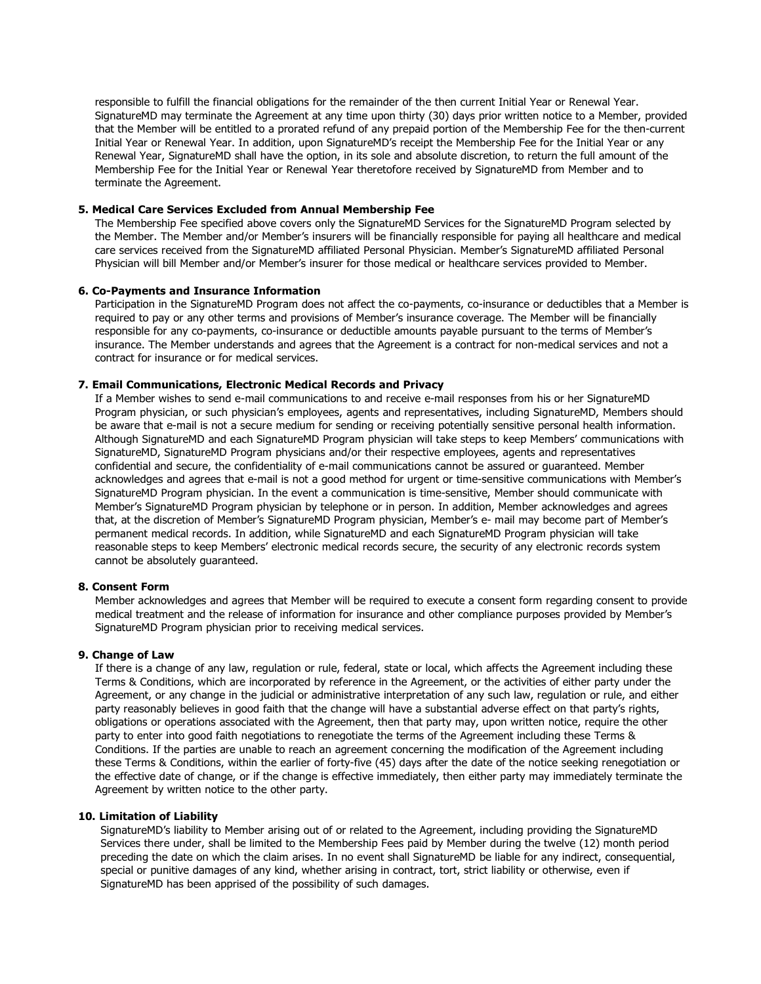responsible to fulfill the financial obligations for the remainder of the then current Initial Year or Renewal Year. SignatureMD may terminate the Agreement at any time upon thirty (30) days prior written notice to a Member, provided that the Member will be entitled to a prorated refund of any prepaid portion of the Membership Fee for the then-current Initial Year or Renewal Year. In addition, upon SignatureMD's receipt the Membership Fee for the Initial Year or any Renewal Year, SignatureMD shall have the option, in its sole and absolute discretion, to return the full amount of the Membership Fee for the Initial Year or Renewal Year theretofore received by SignatureMD from Member and to terminate the Agreement.

# **5. Medical Care Services Excluded from Annual Membership Fee**

The Membership Fee specified above covers only the SignatureMD Services for the SignatureMD Program selected by the Member. The Member and/or Member's insurers will be financially responsible for paying all healthcare and medical care services received from the SignatureMD affiliated Personal Physician. Member's SignatureMD affiliated Personal Physician will bill Member and/or Member's insurer for those medical or healthcare services provided to Member.

## **6. Co-Payments and Insurance Information**

Participation in the SignatureMD Program does not affect the co-payments, co-insurance or deductibles that a Member is required to pay or any other terms and provisions of Member's insurance coverage. The Member will be financially responsible for any co-payments, co-insurance or deductible amounts payable pursuant to the terms of Member's insurance. The Member understands and agrees that the Agreement is a contract for non-medical services and not a contract for insurance or for medical services.

## **7. Email Communications, Electronic Medical Records and Privacy**

If a Member wishes to send e-mail communications to and receive e-mail responses from his or her SignatureMD Program physician, or such physician's employees, agents and representatives, including SignatureMD, Members should be aware that e-mail is not a secure medium for sending or receiving potentially sensitive personal health information. Although SignatureMD and each SignatureMD Program physician will take steps to keep Members' communications with SignatureMD, SignatureMD Program physicians and/or their respective employees, agents and representatives confidential and secure, the confidentiality of e-mail communications cannot be assured or guaranteed. Member acknowledges and agrees that e-mail is not a good method for urgent or time-sensitive communications with Member's SignatureMD Program physician. In the event a communication is time-sensitive, Member should communicate with Member's SignatureMD Program physician by telephone or in person. In addition, Member acknowledges and agrees that, at the discretion of Member's SignatureMD Program physician, Member's e- mail may become part of Member's permanent medical records. In addition, while SignatureMD and each SignatureMD Program physician will take reasonable steps to keep Members' electronic medical records secure, the security of any electronic records system cannot be absolutely guaranteed.

#### **8. Consent Form**

Member acknowledges and agrees that Member will be required to execute a consent form regarding consent to provide medical treatment and the release of information for insurance and other compliance purposes provided by Member's SignatureMD Program physician prior to receiving medical services.

#### **9. Change of Law**

If there is a change of any law, regulation or rule, federal, state or local, which affects the Agreement including these Terms & Conditions, which are incorporated by reference in the Agreement, or the activities of either party under the Agreement, or any change in the judicial or administrative interpretation of any such law, regulation or rule, and either party reasonably believes in good faith that the change will have a substantial adverse effect on that party's rights, obligations or operations associated with the Agreement, then that party may, upon written notice, require the other party to enter into good faith negotiations to renegotiate the terms of the Agreement including these Terms & Conditions. If the parties are unable to reach an agreement concerning the modification of the Agreement including these Terms & Conditions, within the earlier of forty-five (45) days after the date of the notice seeking renegotiation or the effective date of change, or if the change is effective immediately, then either party may immediately terminate the Agreement by written notice to the other party.

#### **10. Limitation of Liability**

SignatureMD's liability to Member arising out of or related to the Agreement, including providing the SignatureMD Services there under, shall be limited to the Membership Fees paid by Member during the twelve (12) month period preceding the date on which the claim arises. In no event shall SignatureMD be liable for any indirect, consequential, special or punitive damages of any kind, whether arising in contract, tort, strict liability or otherwise, even if SignatureMD has been apprised of the possibility of such damages.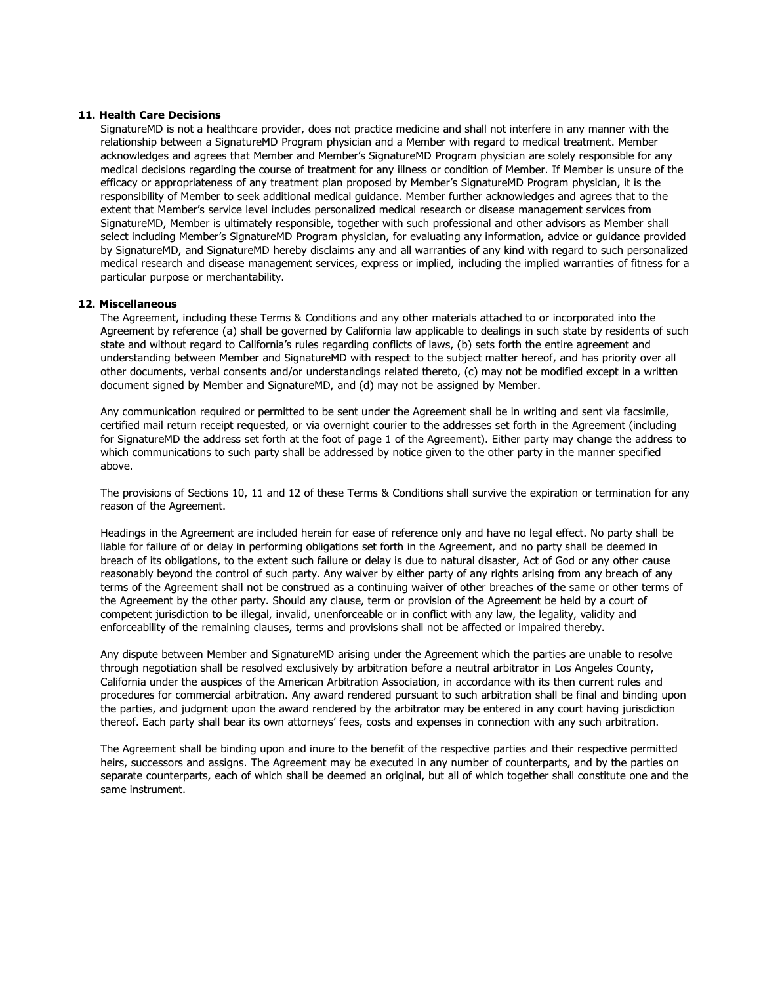# **11. Health Care Decisions**

SignatureMD is not a healthcare provider, does not practice medicine and shall not interfere in any manner with the relationship between a SignatureMD Program physician and a Member with regard to medical treatment. Member acknowledges and agrees that Member and Member's SignatureMD Program physician are solely responsible for any medical decisions regarding the course of treatment for any illness or condition of Member. If Member is unsure of the efficacy or appropriateness of any treatment plan proposed by Member's SignatureMD Program physician, it is the responsibility of Member to seek additional medical guidance. Member further acknowledges and agrees that to the extent that Member's service level includes personalized medical research or disease management services from SignatureMD, Member is ultimately responsible, together with such professional and other advisors as Member shall select including Member's SignatureMD Program physician, for evaluating any information, advice or guidance provided by SignatureMD, and SignatureMD hereby disclaims any and all warranties of any kind with regard to such personalized medical research and disease management services, express or implied, including the implied warranties of fitness for a particular purpose or merchantability.

#### **12. Miscellaneous**

The Agreement, including these Terms & Conditions and any other materials attached to or incorporated into the Agreement by reference (a) shall be governed by California law applicable to dealings in such state by residents of such state and without regard to California's rules regarding conflicts of laws, (b) sets forth the entire agreement and understanding between Member and SignatureMD with respect to the subject matter hereof, and has priority over all other documents, verbal consents and/or understandings related thereto, (c) may not be modified except in a written document signed by Member and SignatureMD, and (d) may not be assigned by Member.

Any communication required or permitted to be sent under the Agreement shall be in writing and sent via facsimile, certified mail return receipt requested, or via overnight courier to the addresses set forth in the Agreement (including for SignatureMD the address set forth at the foot of page 1 of the Agreement). Either party may change the address to which communications to such party shall be addressed by notice given to the other party in the manner specified above.

The provisions of Sections 10, 11 and 12 of these Terms & Conditions shall survive the expiration or termination for any reason of the Agreement.

Headings in the Agreement are included herein for ease of reference only and have no legal effect. No party shall be liable for failure of or delay in performing obligations set forth in the Agreement, and no party shall be deemed in breach of its obligations, to the extent such failure or delay is due to natural disaster, Act of God or any other cause reasonably beyond the control of such party. Any waiver by either party of any rights arising from any breach of any terms of the Agreement shall not be construed as a continuing waiver of other breaches of the same or other terms of the Agreement by the other party. Should any clause, term or provision of the Agreement be held by a court of competent jurisdiction to be illegal, invalid, unenforceable or in conflict with any law, the legality, validity and enforceability of the remaining clauses, terms and provisions shall not be affected or impaired thereby.

Any dispute between Member and SignatureMD arising under the Agreement which the parties are unable to resolve through negotiation shall be resolved exclusively by arbitration before a neutral arbitrator in Los Angeles County, California under the auspices of the American Arbitration Association, in accordance with its then current rules and procedures for commercial arbitration. Any award rendered pursuant to such arbitration shall be final and binding upon the parties, and judgment upon the award rendered by the arbitrator may be entered in any court having jurisdiction thereof. Each party shall bear its own attorneys' fees, costs and expenses in connection with any such arbitration.

The Agreement shall be binding upon and inure to the benefit of the respective parties and their respective permitted heirs, successors and assigns. The Agreement may be executed in any number of counterparts, and by the parties on separate counterparts, each of which shall be deemed an original, but all of which together shall constitute one and the same instrument.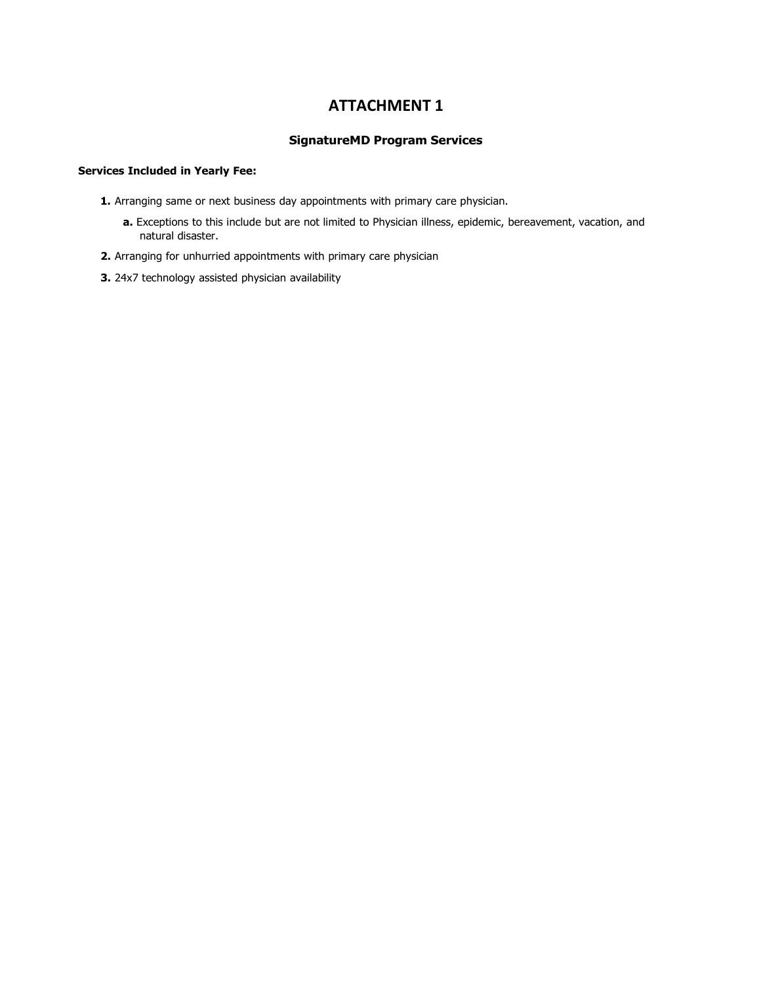# **ATTACHMENT 1**

# **SignatureMD Program Services**

# **Services Included in Yearly Fee:**

- **1.** Arranging same or next business day appointments with primary care physician.
	- **a.** Exceptions to this include but are not limited to Physician illness, epidemic, bereavement, vacation, and natural disaster.
- **2.** Arranging for unhurried appointments with primary care physician
- **3.** 24x7 technology assisted physician availability